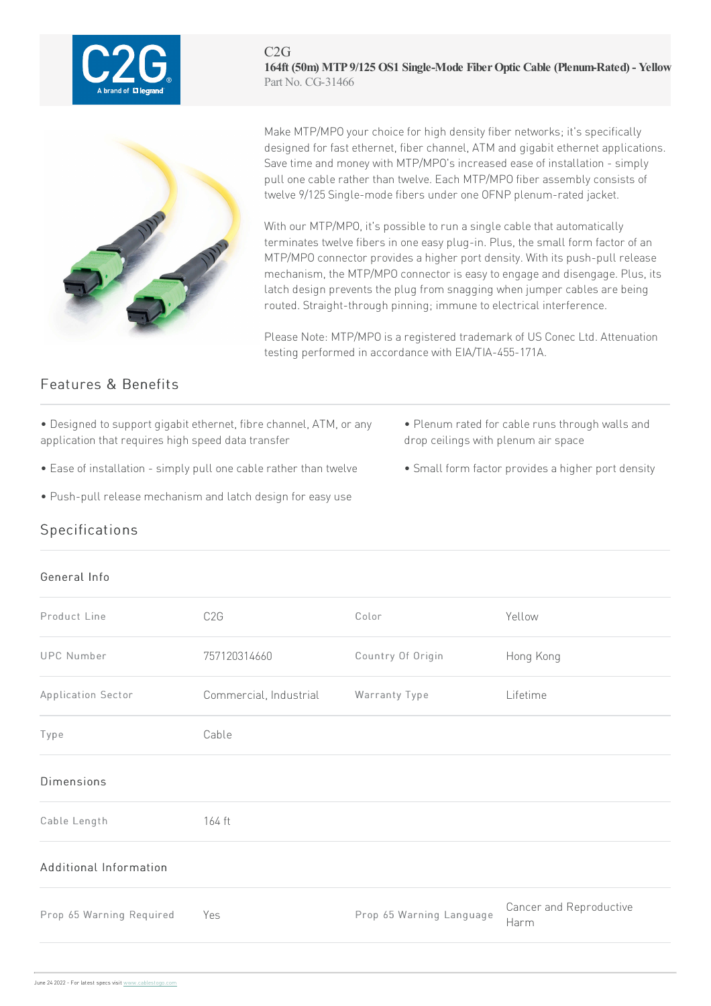

C2G **164ft (50m) MTP 9/125 OS1 Single-Mode FiberOptic Cable (Plenum-Rated) - Yellow** Part No. CG-31466



Make MTP/MPO your choice for high density fiber networks; it's specifically designed for fast ethernet, fiber channel, ATM and gigabit ethernet applications. Save time and money with MTP/MPO's increased ease of installation - simply pull one cable rather than twelve. Each MTP/MPO fiber assembly consists of twelve 9/125 Single-mode fibers under one OFNP plenum-rated jacket.

With our MTP/MPO, it's possible to run a single cable that automatically terminates twelve fibers in one easy plug-in. Plus, the small form factor of an MTP/MPO connector provides a higher port density. With its push-pull release mechanism, the MTP/MPO connector is easy to engage and disengage. Plus, its latch design prevents the plug from snagging when jumper cables are being routed. Straight-through pinning; immune to electrical interference.

Please Note: MTP/MPO is a registered trademark of US Conec Ltd. Attenuation testing performed in accordance with EIA/TIA-455-171A.

## Features & Benefits

- Designed to support gigabit ethernet, fibre channel, ATM, or any application that requires high speed data transfer
- Ease of installation simply pull one cable rather than twelve Small form factor provides a higher port density
- Push-pull release mechanism and latch design for easy use
- Plenum rated for cable runs through walls and drop ceilings with plenum air space
- 

## **Specifications**

## General Info

| Product Line             | C <sub>2</sub> G       | Color                    | Yellow                          |
|--------------------------|------------------------|--------------------------|---------------------------------|
| <b>UPC Number</b>        | 757120314660           | Country Of Origin        | Hong Kong                       |
| Application Sector       | Commercial, Industrial | Warranty Type            | Lifetime                        |
| Type                     | Cable                  |                          |                                 |
| <b>Dimensions</b>        |                        |                          |                                 |
| Cable Length             | 164 ft                 |                          |                                 |
| Additional Information   |                        |                          |                                 |
| Prop 65 Warning Required | Yes                    | Prop 65 Warning Language | Cancer and Reproductive<br>Harm |
|                          |                        |                          |                                 |